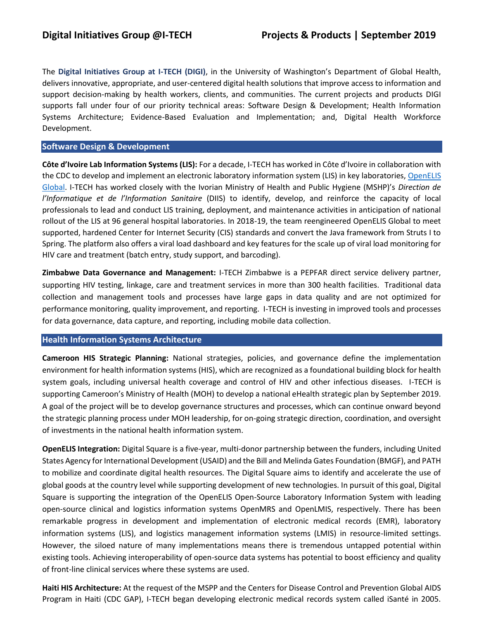The **Digital Initiatives Group at I-TECH (DIGI)**, in the University of Washington's Department of Global Health, delivers innovative, appropriate, and user-centered digital health solutions that improve access to information and support decision-making by health workers, clients, and communities. The current projects and products DIGI supports fall under four of our priority technical areas: Software Design & Development; Health Information Systems Architecture; Evidence-Based Evaluation and Implementation; and, Digital Health Workforce Development.

## **Software Design & Development**

**Côte d'Ivoire Lab Information Systems (LIS):** For a decade, I-TECH has worked in Côte d'Ivoire in collaboration with the CDC to develop and implement an electronic laboratory information system (LIS) in key laboratories, OpenELIS [Global.](https://sites.google.com/site/openelisglobal/) I-TECH has worked closely with the Ivorian Ministry of Health and Public Hygiene (MSHP)'s *Direction de l'Informatique et de l'Information Sanitaire* (DIIS) to identify, develop, and reinforce the capacity of local professionals to lead and conduct LIS training, deployment, and maintenance activities in anticipation of national rollout of the LIS at 96 general hospital laboratories. In 2018-19, the team reengineered OpenELIS Global to meet supported, hardened Center for Internet Security (CIS) standards and convert the Java framework from Struts I to Spring. The platform also offers a viral load dashboard and key features for the scale up of viral load monitoring for HIV care and treatment (batch entry, study support, and barcoding).

**Zimbabwe Data Governance and Management:** I-TECH Zimbabwe is a PEPFAR direct service delivery partner, supporting HIV testing, linkage, care and treatment services in more than 300 health facilities. Traditional data collection and management tools and processes have large gaps in data quality and are not optimized for performance monitoring, quality improvement, and reporting. I-TECH is investing in improved tools and processes for data governance, data capture, and reporting, including mobile data collection.

### **Health Information Systems Architecture**

**Cameroon HIS Strategic Planning:** National strategies, policies, and governance define the implementation environment for health information systems (HIS), which are recognized as a foundational building block for health system goals, including universal health coverage and control of HIV and other infectious diseases. I-TECH is supporting Cameroon's Ministry of Health (MOH) to develop a national eHealth strategic plan by September 2019. A goal of the project will be to develop governance structures and processes, which can continue onward beyond the strategic planning process under MOH leadership, for on-going strategic direction, coordination, and oversight of investments in the national health information system.

**OpenELIS Integration:** Digital Square is a five-year, multi-donor partnership between the funders, including United States Agency for International Development (USAID) and the Bill and Melinda Gates Foundation (BMGF), and PATH to mobilize and coordinate digital health resources. The Digital Square aims to identify and accelerate the use of global goods at the country level while supporting development of new technologies. In pursuit of this goal, Digital Square is supporting the integration of the OpenELIS Open-Source Laboratory Information System with leading open-source clinical and logistics information systems OpenMRS and OpenLMIS, respectively. There has been remarkable progress in development and implementation of electronic medical records (EMR), laboratory information systems (LIS), and logistics management information systems (LMIS) in resource-limited settings. However, the siloed nature of many implementations means there is tremendous untapped potential within existing tools. Achieving interoperability of open-source data systems has potential to boost efficiency and quality of front-line clinical services where these systems are used.

**Haiti HIS Architecture:** At the request of the MSPP and the Centers for Disease Control and Prevention Global AIDS Program in Haiti (CDC GAP), I-TECH began developing electronic medical records system called iSanté in 2005.